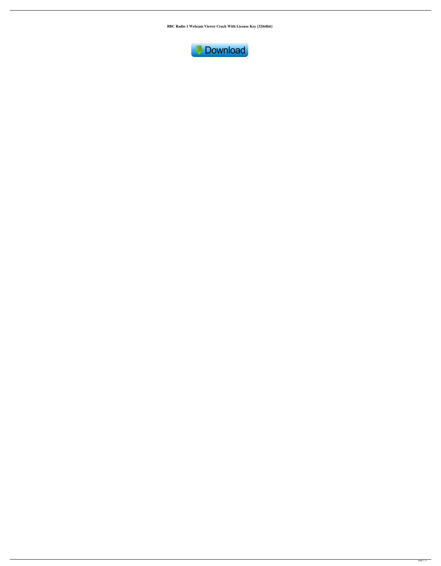**BBC Radio 1 Webcam Viewer Crack With License Key [32|64bit]**

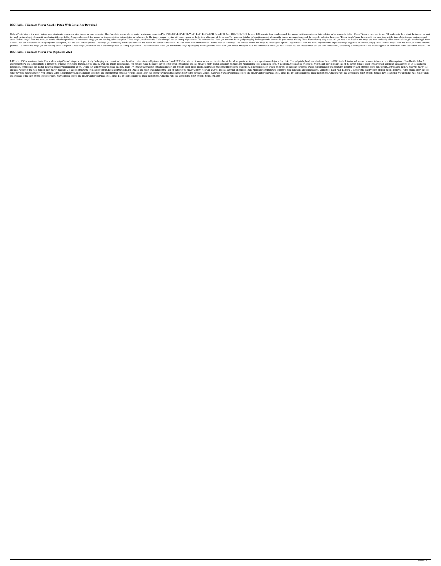## **BBC Radio 1 Webcam Viewer Crack+ Patch With Serial Key Download**

Gallery Photo Viewer is a handy Windows application to browse and view images on your computer. This free photo viewer allows you to view images stored in JPG, JPEG, GIF, BMP, PNG, WMF, EMF, A.WF, EMF, A.W., PSD, TIFF, TIF to view by either double-clicking it, or selecting it from a folder. You can also search for images by title, description, date and size, or by keywords. The image you are viewing will be previewed on the bottom-left corne select "Adjust image" from the menu, or use the slider bar provided. To remove the image you are viewing, select the option "Close image", or click on the "Delete image" icon on the top-right corner. The software also allo a folder. You can also search for images by title, description, date and size, or by keywords. The image you are viewing will be previewed on the bottom-left corner of the screen. To view more detailed information, doubleprovided. To remove the image you are viewing, select the option "Close image", or click on the "Delete image", or click on the top-right corner. The software also allows you to rotate the image by dragging the image by dr

## **BBC Radio 1 Webcam Viewer Free [Updated] 2022**

BBC radio 1 Webcam viewer Serial Key is a lightweight Yahoo! widget built specifically for helping you connect and view the video content streamed by three webcams from BBC Radio 1 station. It boasts a clean and intuitive environment give you the possibility to prevent the windows from being dragged, set the opacity level, and ignore mouse events. You can also make the gadget stay on top of other applications, and this proves to pretty usef parameters, even rookies can master the entire process with minimum effort. During our testing we have noticed that BBC radio 1 Webcam viewer carries out a task quickly, and provides good image quality. As it would be expe nost popular flash player. Radowns 2 is a complete rewrite from the ground up. Features: Drag and Drop Quickly and easily drag and drop the flash objects into the player window. You will never be lost in a labyrinth of con ideo playback experience ever. With the new video engine Radowns 2 is much more responsive and smoother than previous versions. It also allows full screen viewing and full screen html5 video playback. Control over Flash Ob and drag any of the flash objects to reorder them. View all flash objects The player window is divided into 2 areas. The left side contains the main flash objects, while the right side contains the html5 objects. You 81e31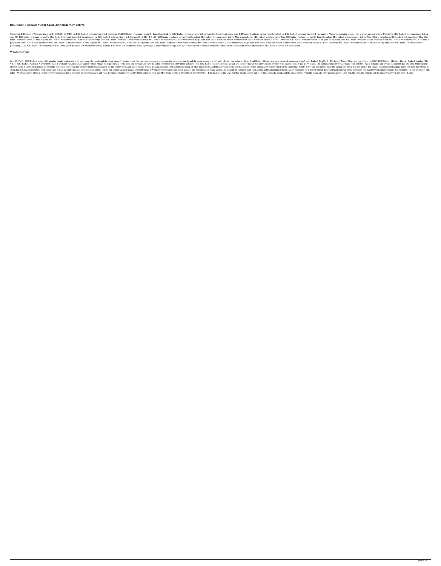### **BBC Radio 1 Webcam Viewer Crack Activation PC/Windows**

[Download BBC radio 1 Webcam viewer v2.1 | 1.0 MB | 1.5 MB ] Ua BBC Radio 1 webcam viewer 2.1 Download Ua BBC Radio 1 webcam viewer 2.1 Free. Download Ua BBC Radio 1 webcam viewer 2.1 software for Windows at pcupd.com. BBC your PC. BBC radio 1 webcam viewer Ua BBC Radio 1 webcam viewer 2.1 Description: [Ua BBC Radio 1 webcam viewer 2.1 download | 1.0 MB | 1.5 MB ] BBC radio 1 webcam viewer Free Download BBC radio 1 webcam viewer 2.1 for Mac radio 1 webcam viewer 2.1 Free. Update BBC radio 1 webcam viewer 2.1 on your Mac at pcupd.com. BBC radio 1 webcam viewer Free Download BBC radio 1 webcam viewer 2.1 for Windows at pcupd.com. BBC radio 1 webcam viewer 2.1 o peupd.com. BBC radio 1 webcam viewer Mac BBC radio 1 webcam viewer 2.1 Free. Update BBC radio 1 webcam viewer 2.1 on your Mac at peupd.com. BBC radio 1 webcam viewer Free Download BBC radio 1 webcam viewer Windows aBBC rad [freeware] 1.1.11 BBC radio 1 Webcam viewer Free Download BBC radio 1 Webcam viewer Free Edition. BBC radio 1 Webcam viewer is a lightweight Yahoo! widget built specifically for helping you connect and view the video conte

#### **What's New In?**

[url] - BBC Radio 1 is the UK's number 1 radio station and is for the young, the trendy and the music savvy. From the music, the news and the sports to the pop, the rock, the comedy and the music we cover it all! [url= - L Vibe » BBC Radio 1 Webcam Viewer BBC radio 1 Webcam viewer is a lightweight Yahoo! widget built specifically for helping you connect and view the video content streamed by three webcams from BBC Radio 1 station. It boasts offered by the Yahoo! environment give you the possibility to prevent the windows from being dragged, set the opacity level, and ignore mouse events. You can also make the gadget stay on top of other applications, and this set up the dedicated parameters, even rookies can master the entire process with minimum effort. During our testing we have noticed that BBC radio 1 Webcam viewer carries out a task quickly, and provides good image quality radio 1 Webcam viewer offers a simple software solution when it comes to helping you access and view the videos streams provided by three webcams from the BBC Radio 1 station. Description: [url= On[/url] - BBC Radio 1 is t